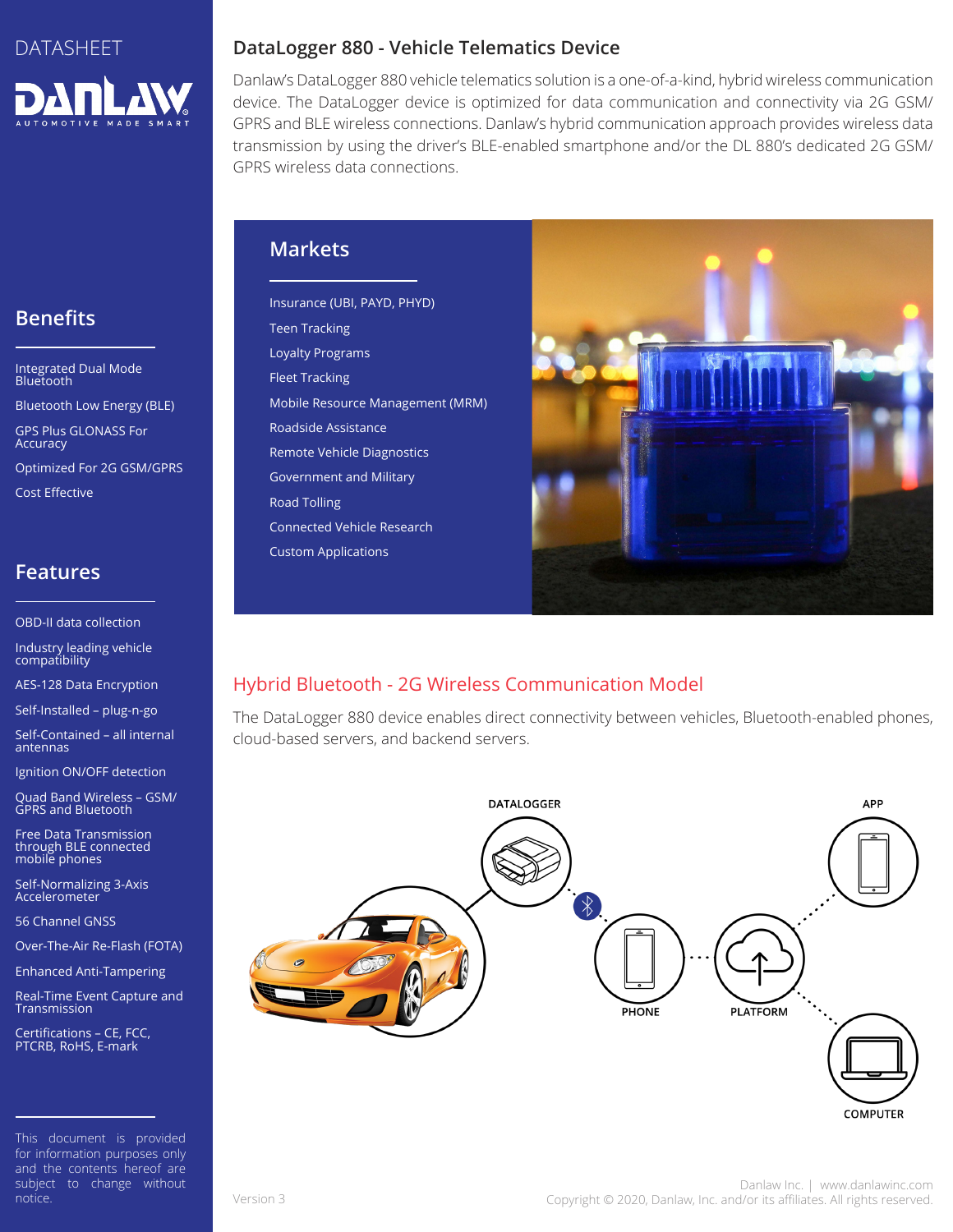

# **Benefits**

Integrated Dual Mode Bluetooth

Bluetooth Low Energy (BLE) GPS Plus GLONASS For Accuracy

Optimized For 2G GSM/GPRS

Cost Effective

### **Features**

OBD-II data collection

Industry leading vehicle compatibility

AES-128 Data Encryption

Self-Installed – plug-n-go

Self-Contained – all internal antennas

Ignition ON/OFF detection

Quad Band Wireless – GSM/ GPRS and Bluetooth

Free Data Transmission through BLE connected mobile phones

Self-Normalizing 3-Axis **Accelerometer** 

56 Channel GNSS

Over-The-Air Re-Flash (FOTA)

Enhanced Anti-Tampering

Real-Time Event Capture and Transmission

Certifications – CE, FCC, PTCRB, RoHS, E-mark

This document is provided for information purposes only and the contents hereof are subject to change without notice.

## **DataLogger 880 - Vehicle Telematics Device**

Danlaw's DataLogger 880 vehicle telematics solution is a one-of-a-kind, hybrid wireless communication device. The DataLogger device is optimized for data communication and connectivity via 2G GSM/ GPRS and BLE wireless connections. Danlaw's hybrid communication approach provides wireless data transmission by using the driver's BLE-enabled smartphone and/or the DL 880's dedicated 2G GSM/ GPRS wireless data connections.

## **Markets**

Insurance (UBI, PAYD, PHYD) Teen Tracking Loyalty Programs Fleet Tracking Mobile Resource Management (MRM) Roadside Assistance Remote Vehicle Diagnostics Government and Military Road Tolling Connected Vehicle Research Custom Applications



## Hybrid Bluetooth - 2G Wireless Communication Model

The DataLogger 880 device enables direct connectivity between vehicles, Bluetooth-enabled phones, cloud-based servers, and backend servers.



**COMPUTER**